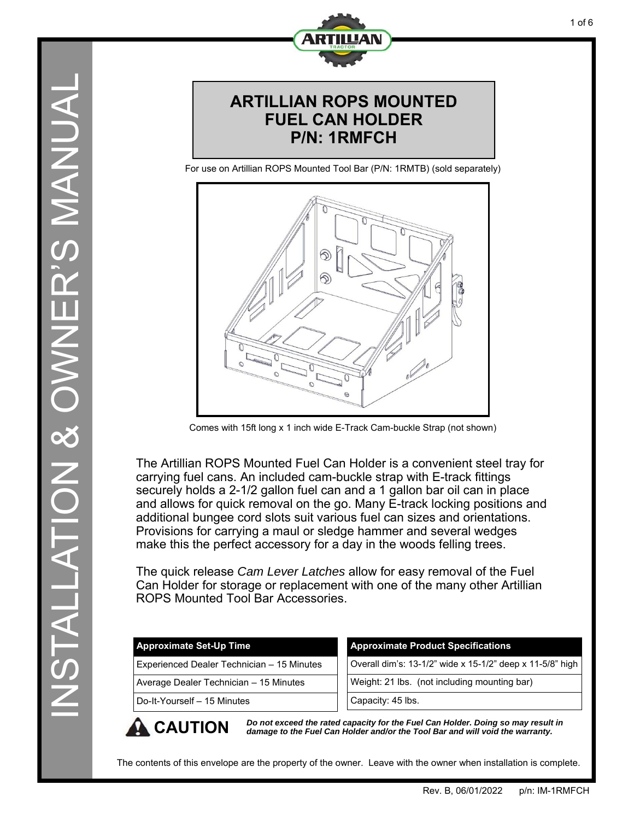

### **ARTILLIAN ROPS MOUNTED FUEL CAN HOLDER P/N: 1RMFCH**

For use on Artillian ROPS Mounted Tool Bar (P/N: 1RMTB) (sold separately)



Comes with 15ft long x 1 inch wide E-Track Cam-buckle Strap (not shown)

The Artillian ROPS Mounted Fuel Can Holder is a convenient steel tray for carrying fuel cans. An included cam-buckle strap with E-track fittings securely holds a 2-1/2 gallon fuel can and a 1 gallon bar oil can in place and allows for quick removal on the go. Many E-track locking positions and additional bungee cord slots suit various fuel can sizes and orientations. Provisions for carrying a maul or sledge hammer and several wedges make this the perfect accessory for a day in the woods felling trees.

The quick release *Cam Lever Latches* allow for easy removal of the Fuel Can Holder for storage or replacement with one of the many other Artillian ROPS Mounted Tool Bar Accessories.

| <b>Approximate Set-Up Time</b>             | <b>Approximate Product Specifications</b>                 |
|--------------------------------------------|-----------------------------------------------------------|
| Experienced Dealer Technician - 15 Minutes | Overall dim's: 13-1/2" wide x 15-1/2" deep x 11-5/8" high |
| Average Dealer Technician - 15 Minutes     | Weight: 21 lbs. (not including mounting bar)              |
| Do-It-Yourself - 15 Minutes                | Capacity: 45 lbs.                                         |
|                                            |                                                           |

**CAUTION** *Do not exceed the rated capacity for the Fuel Can Holder. Doing so may result in damage to the Fuel Can Holder and/or the Tool Bar and will void the warranty.* 

The contents of this envelope are the property of the owner. Leave with the owner when installation is complete.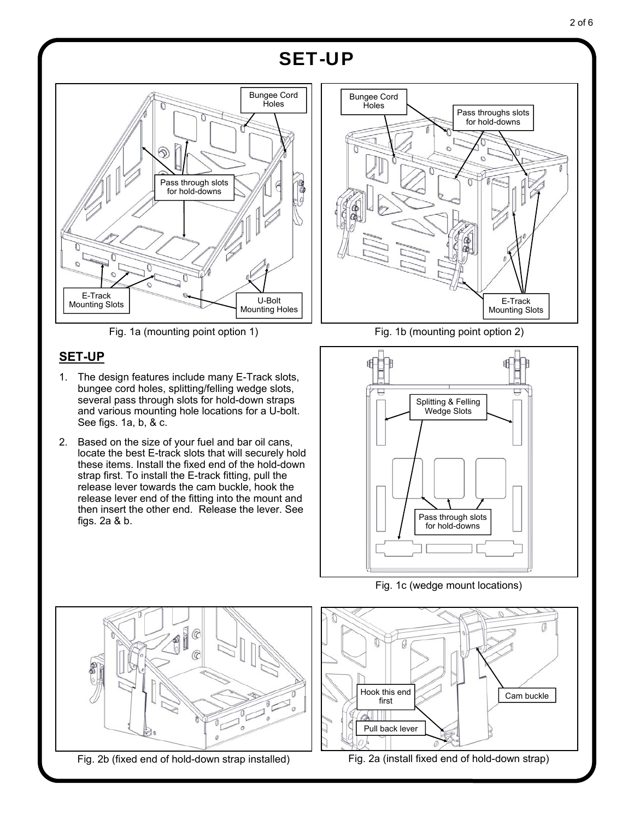## SET-UP



#### **SET-UP**

- 1. The design features include many E-Track slots, bungee cord holes, splitting/felling wedge slots, several pass through slots for hold-down straps and various mounting hole locations for a U-bolt. See figs. 1a, b, & c.
- 2. Based on the size of your fuel and bar oil cans, locate the best E-track slots that will securely hold these items. Install the fixed end of the hold-down strap first. To install the E-track fitting, pull the release lever towards the cam buckle, hook the release lever end of the fitting into the mount and then insert the other end. Release the lever. See figs. 2a & b.



Fig. 1a (mounting point option 1) Fig. 1b (mounting point option 2)



Fig. 1c (wedge mount locations)



Fig. 2b (fixed end of hold-down strap installed)

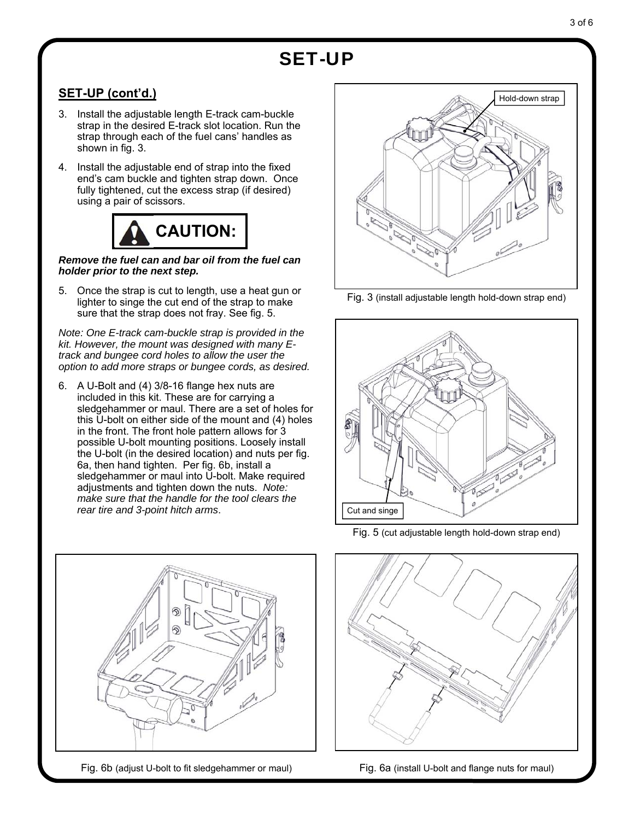# SET-UP

### **SET-UP (cont'd.)**

- 3. Install the adjustable length E-track cam-buckle strap in the desired E-track slot location. Run the strap through each of the fuel cans' handles as shown in fig. 3.
- 4. Install the adjustable end of strap into the fixed end's cam buckle and tighten strap down. Once fully tightened, cut the excess strap (if desired) using a pair of scissors.



#### *Remove the fuel can and bar oil from the fuel can holder prior to the next step.*

5. Once the strap is cut to length, use a heat gun or lighter to singe the cut end of the strap to make sure that the strap does not fray. See fig. 5.

*Note: One E-track cam-buckle strap is provided in the kit. However, the mount was designed with many Etrack and bungee cord holes to allow the user the option to add more straps or bungee cords, as desired.* 

6. A U-Bolt and (4) 3/8-16 flange hex nuts are included in this kit. These are for carrying a sledgehammer or maul. There are a set of holes for this U-bolt on either side of the mount and (4) holes in the front. The front hole pattern allows for 3 possible U-bolt mounting positions. Loosely install the U-bolt (in the desired location) and nuts per fig. 6a, then hand tighten. Per fig. 6b, install a sledgehammer or maul into U-bolt. Make required adjustments and tighten down the nuts. *Note: make sure that the handle for the tool clears the rear tire and 3-point hitch arms*.



Fig. 6b (adjust U-bolt to fit sledgehammer or maul) Fig. 6a (install U-bolt and flange nuts for maul)



Fig. 3 (install adjustable length hold-down strap end)



Fig. 5 (cut adjustable length hold-down strap end)

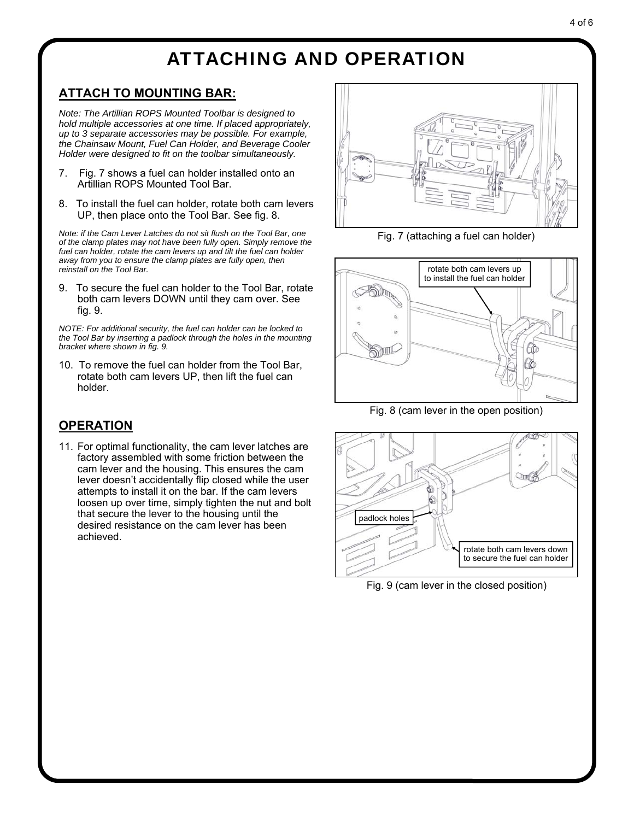### ATTACHING AND OPERATION

#### **ATTACH TO MOUNTING BAR:**

*Note: The Artillian ROPS Mounted Toolbar is designed to hold multiple accessories at one time. If placed appropriately, up to 3 separate accessories may be possible. For example, the Chainsaw Mount, Fuel Can Holder, and Beverage Cooler Holder were designed to fit on the toolbar simultaneously.* 

- 7. Fig. 7 shows a fuel can holder installed onto an Artillian ROPS Mounted Tool Bar.
- 8. To install the fuel can holder, rotate both cam levers UP, then place onto the Tool Bar. See fig. 8.

*Note: if the Cam Lever Latches do not sit flush on the Tool Bar, one of the clamp plates may not have been fully open. Simply remove the fuel can holder, rotate the cam levers up and tilt the fuel can holder away from you to ensure the clamp plates are fully open, then reinstall on the Tool Bar.* 

9. To secure the fuel can holder to the Tool Bar, rotate both cam levers DOWN until they cam over. See fig. 9.

*NOTE: For additional security, the fuel can holder can be locked to the Tool Bar by inserting a padlock through the holes in the mounting bracket where shown in fig. 9.* 

10. To remove the fuel can holder from the Tool Bar, rotate both cam levers UP, then lift the fuel can holder.

#### **OPERATION**

11. For optimal functionality, the cam lever latches are factory assembled with some friction between the cam lever and the housing. This ensures the cam lever doesn't accidentally flip closed while the user attempts to install it on the bar. If the cam levers loosen up over time, simply tighten the nut and bolt that secure the lever to the housing until the desired resistance on the cam lever has been achieved.



Fig. 7 (attaching a fuel can holder)



Fig. 8 (cam lever in the open position)



Fig. 9 (cam lever in the closed position)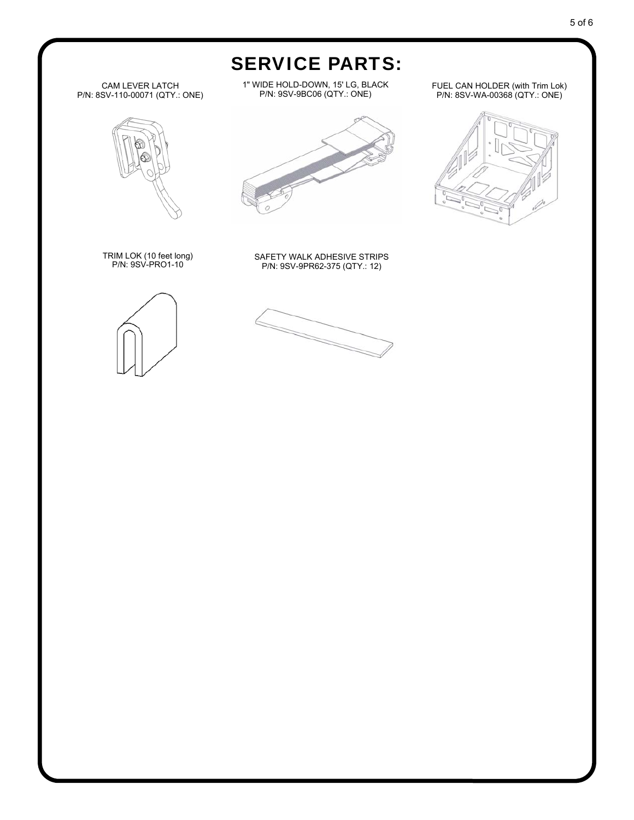